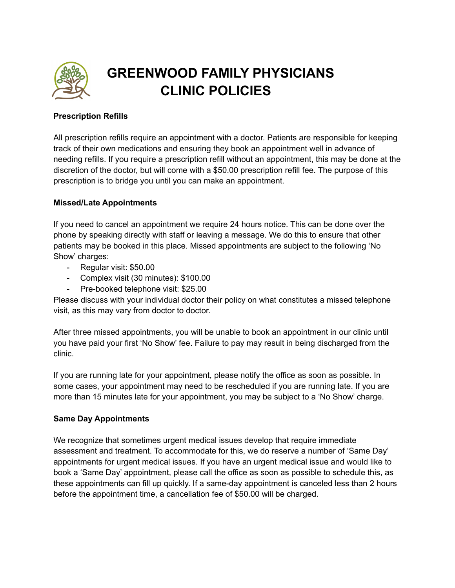

# **GREENWOOD FAMILY PHYSICIANS CLINIC POLICIES**

## **Prescription Refills**

All prescription refills require an appointment with a doctor. Patients are responsible for keeping track of their own medications and ensuring they book an appointment well in advance of needing refills. If you require a prescription refill without an appointment, this may be done at the discretion of the doctor, but will come with a \$50.00 prescription refill fee. The purpose of this prescription is to bridge you until you can make an appointment.

## **Missed/Late Appointments**

If you need to cancel an appointment we require 24 hours notice. This can be done over the phone by speaking directly with staff or leaving a message. We do this to ensure that other patients may be booked in this place. Missed appointments are subject to the following 'No Show' charges:

- Regular visit: \$50.00
- Complex visit (30 minutes): \$100.00
- Pre-booked telephone visit: \$25.00

Please discuss with your individual doctor their policy on what constitutes a missed telephone visit, as this may vary from doctor to doctor.

After three missed appointments, you will be unable to book an appointment in our clinic until you have paid your first 'No Show' fee. Failure to pay may result in being discharged from the clinic.

If you are running late for your appointment, please notify the office as soon as possible. In some cases, your appointment may need to be rescheduled if you are running late. If you are more than 15 minutes late for your appointment, you may be subject to a 'No Show' charge.

## **Same Day Appointments**

We recognize that sometimes urgent medical issues develop that require immediate assessment and treatment. To accommodate for this, we do reserve a number of 'Same Day' appointments for urgent medical issues. If you have an urgent medical issue and would like to book a 'Same Day' appointment, please call the office as soon as possible to schedule this, as these appointments can fill up quickly. If a same-day appointment is canceled less than 2 hours before the appointment time, a cancellation fee of \$50.00 will be charged.